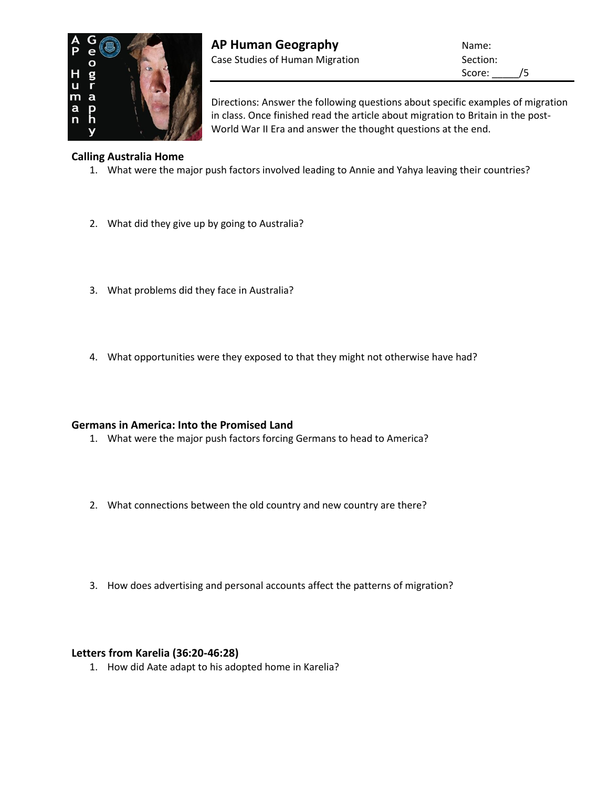

Score: /5

Directions: Answer the following questions about specific examples of migration in class. Once finished read the article about migration to Britain in the post-World War II Era and answer the thought questions at the end.

## **Calling Australia Home**

- 1. What were the major push factors involved leading to Annie and Yahya leaving their countries?
- 2. What did they give up by going to Australia?
- 3. What problems did they face in Australia?
- 4. What opportunities were they exposed to that they might not otherwise have had?

## **Germans in America: Into the Promised Land**

- 1. What were the major push factors forcing Germans to head to America?
- 2. What connections between the old country and new country are there?
- 3. How does advertising and personal accounts affect the patterns of migration?

### **Letters from Karelia (36:20-46:28)**

1. How did Aate adapt to his adopted home in Karelia?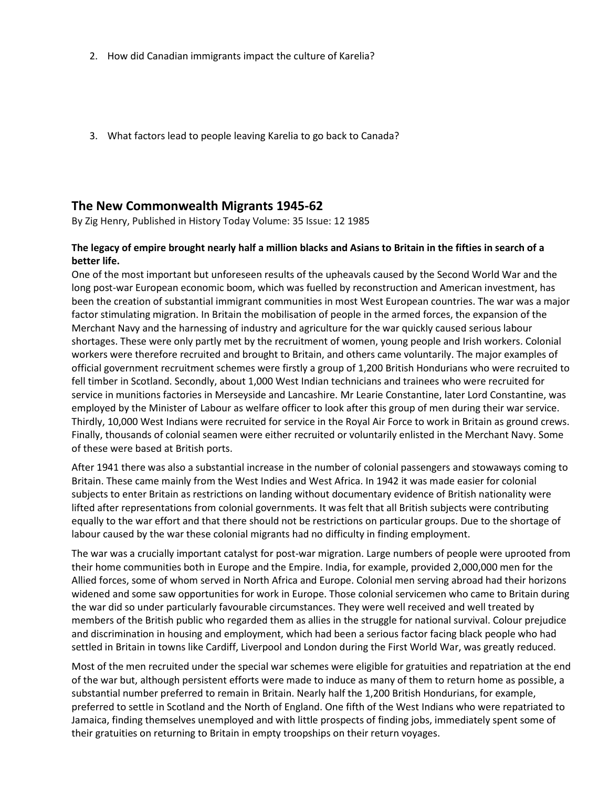- 2. How did Canadian immigrants impact the culture of Karelia?
- 3. What factors lead to people leaving Karelia to go back to Canada?

# **The New Commonwealth Migrants 1945-62**

By [Zig Henry,](http://www.historytoday.com/taxonomy/term/1869) Published in [History Today](http://www.historytoday.com/taxonomy/term/43) [Volume: 35 Issue: 12](http://www.historytoday.com/taxonomy/term/5429) [1985](http://www.historytoday.com/taxonomy/term/14759)

## **The legacy of empire brought nearly half a million blacks and Asians to Britain in the fifties in search of a better life.**

One of the most important but unforeseen results of the upheavals caused by the Second World War and the long post-war European economic boom, which was fuelled by reconstruction and American investment, has been the creation of substantial immigrant communities in most West European countries. The war was a major factor stimulating migration. In Britain the mobilisation of people in the armed forces, the expansion of the Merchant Navy and the harnessing of industry and agriculture for the war quickly caused serious labour shortages. These were only partly met by the recruitment of women, young people and Irish workers. Colonial workers were therefore recruited and brought to Britain, and others came voluntarily. The major examples of official government recruitment schemes were firstly a group of 1,200 British Hondurians who were recruited to fell timber in Scotland. Secondly, about 1,000 West Indian technicians and trainees who were recruited for service in munitions factories in Merseyside and Lancashire. Mr Learie Constantine, later Lord Constantine, was employed by the Minister of Labour as welfare officer to look after this group of men during their war service. Thirdly, 10,000 West Indians were recruited for service in the Royal Air Force to work in Britain as ground crews. Finally, thousands of colonial seamen were either recruited or voluntarily enlisted in the Merchant Navy. Some of these were based at British ports.

After 1941 there was also a substantial increase in the number of colonial passengers and stowaways coming to Britain. These came mainly from the West Indies and West Africa. In 1942 it was made easier for colonial subjects to enter Britain as restrictions on landing without documentary evidence of British nationality were lifted after representations from colonial governments. It was felt that all British subjects were contributing equally to the war effort and that there should not be restrictions on particular groups. Due to the shortage of labour caused by the war these colonial migrants had no difficulty in finding employment.

The war was a crucially important catalyst for post-war migration. Large numbers of people were uprooted from their home communities both in Europe and the Empire. India, for example, provided 2,000,000 men for the Allied forces, some of whom served in North Africa and Europe. Colonial men serving abroad had their horizons widened and some saw opportunities for work in Europe. Those colonial servicemen who came to Britain during the war did so under particularly favourable circumstances. They were well received and well treated by members of the British public who regarded them as allies in the struggle for national survival. Colour prejudice and discrimination in housing and employment, which had been a serious factor facing black people who had settled in Britain in towns like Cardiff, Liverpool and London during the First World War, was greatly reduced.

Most of the men recruited under the special war schemes were eligible for gratuities and repatriation at the end of the war but, although persistent efforts were made to induce as many of them to return home as possible, a substantial number preferred to remain in Britain. Nearly half the 1,200 British Hondurians, for example, preferred to settle in Scotland and the North of England. One fifth of the West Indians who were repatriated to Jamaica, finding themselves unemployed and with little prospects of finding jobs, immediately spent some of their gratuities on returning to Britain in empty troopships on their return voyages.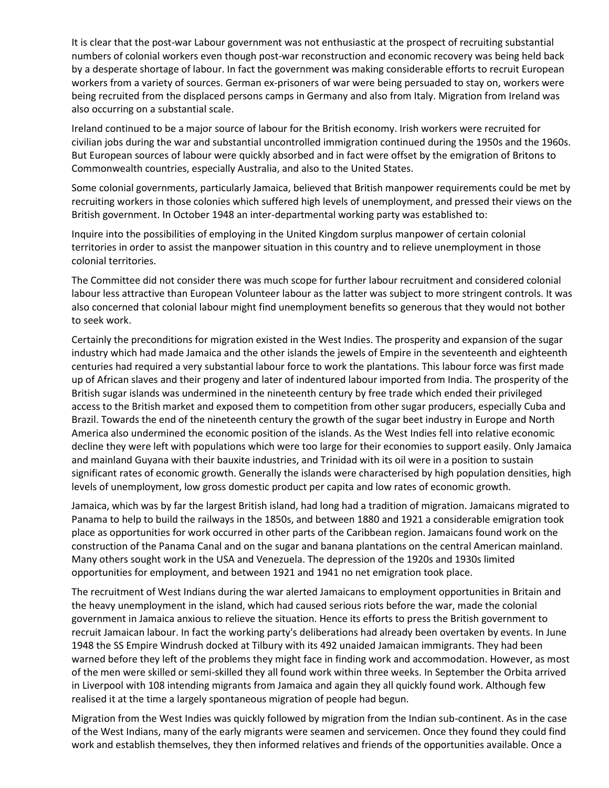It is clear that the post-war Labour government was not enthusiastic at the prospect of recruiting substantial numbers of colonial workers even though post-war reconstruction and economic recovery was being held back by a desperate shortage of labour. In fact the government was making considerable efforts to recruit European workers from a variety of sources. German ex-prisoners of war were being persuaded to stay on, workers were being recruited from the displaced persons camps in Germany and also from Italy. Migration from Ireland was also occurring on a substantial scale.

Ireland continued to be a major source of labour for the British economy. Irish workers were recruited for civilian jobs during the war and substantial uncontrolled immigration continued during the 1950s and the 1960s. But European sources of labour were quickly absorbed and in fact were offset by the emigration of Britons to Commonwealth countries, especially Australia, and also to the United States.

Some colonial governments, particularly Jamaica, believed that British manpower requirements could be met by recruiting workers in those colonies which suffered high levels of unemployment, and pressed their views on the British government. In October 1948 an inter-departmental working party was established to:

Inquire into the possibilities of employing in the United Kingdom surplus manpower of certain colonial territories in order to assist the manpower situation in this country and to relieve unemployment in those colonial territories.

The Committee did not consider there was much scope for further labour recruitment and considered colonial labour less attractive than European Volunteer labour as the latter was subject to more stringent controls. It was also concerned that colonial labour might find unemployment benefits so generous that they would not bother to seek work.

Certainly the preconditions for migration existed in the West Indies. The prosperity and expansion of the sugar industry which had made Jamaica and the other islands the jewels of Empire in the seventeenth and eighteenth centuries had required a very substantial labour force to work the plantations. This labour force was first made up of African slaves and their progeny and later of indentured labour imported from India. The prosperity of the British sugar islands was undermined in the nineteenth century by free trade which ended their privileged access to the British market and exposed them to competition from other sugar producers, especially Cuba and Brazil. Towards the end of the nineteenth century the growth of the sugar beet industry in Europe and North America also undermined the economic position of the islands. As the West Indies fell into relative economic decline they were left with populations which were too large for their economies to support easily. Only Jamaica and mainland Guyana with their bauxite industries, and Trinidad with its oil were in a position to sustain significant rates of economic growth. Generally the islands were characterised by high population densities, high levels of unemployment, low gross domestic product per capita and low rates of economic growth.

Jamaica, which was by far the largest British island, had long had a tradition of migration. Jamaicans migrated to Panama to help to build the railways in the 1850s, and between 1880 and 1921 a considerable emigration took place as opportunities for work occurred in other parts of the Caribbean region. Jamaicans found work on the construction of the Panama Canal and on the sugar and banana plantations on the central American mainland. Many others sought work in the USA and Venezuela. The depression of the 1920s and 1930s limited opportunities for employment, and between 1921 and 1941 no net emigration took place.

The recruitment of West Indians during the war alerted Jamaicans to employment opportunities in Britain and the heavy unemployment in the island, which had caused serious riots before the war, made the colonial government in Jamaica anxious to relieve the situation. Hence its efforts to press the British government to recruit Jamaican labour. In fact the working party's deliberations had already been overtaken by events. In June 1948 the SS Empire Windrush docked at Tilbury with its 492 unaided Jamaican immigrants. They had been warned before they left of the problems they might face in finding work and accommodation. However, as most of the men were skilled or semi-skilled they all found work within three weeks. In September the Orbita arrived in Liverpool with 108 intending migrants from Jamaica and again they all quickly found work. Although few realised it at the time a largely spontaneous migration of people had begun.

Migration from the West Indies was quickly followed by migration from the Indian sub-continent. As in the case of the West Indians, many of the early migrants were seamen and servicemen. Once they found they could find work and establish themselves, they then informed relatives and friends of the opportunities available. Once a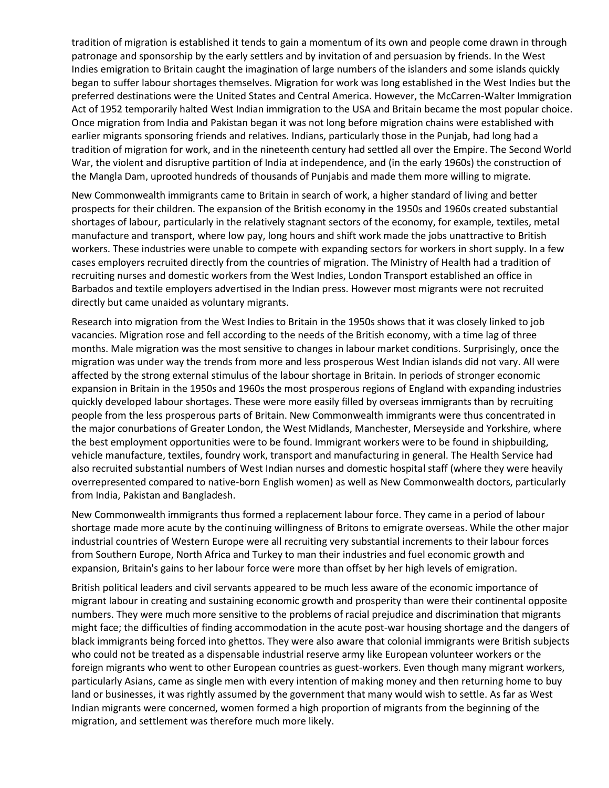tradition of migration is established it tends to gain a momentum of its own and people come drawn in through patronage and sponsorship by the early settlers and by invitation of and persuasion by friends. In the West Indies emigration to Britain caught the imagination of large numbers of the islanders and some islands quickly began to suffer labour shortages themselves. Migration for work was long established in the West Indies but the preferred destinations were the United States and Central America. However, the McCarren-Walter Immigration Act of 1952 temporarily halted West Indian immigration to the USA and Britain became the most popular choice. Once migration from India and Pakistan began it was not long before migration chains were established with earlier migrants sponsoring friends and relatives. Indians, particularly those in the Punjab, had long had a tradition of migration for work, and in the nineteenth century had settled all over the Empire. The Second World War, the violent and disruptive partition of India at independence, and (in the early 1960s) the construction of the Mangla Dam, uprooted hundreds of thousands of Punjabis and made them more willing to migrate.

New Commonwealth immigrants came to Britain in search of work, a higher standard of living and better prospects for their children. The expansion of the British economy in the 1950s and 1960s created substantial shortages of labour, particularly in the relatively stagnant sectors of the economy, for example, textiles, metal manufacture and transport, where low pay, long hours and shift work made the jobs unattractive to British workers. These industries were unable to compete with expanding sectors for workers in short supply. In a few cases employers recruited directly from the countries of migration. The Ministry of Health had a tradition of recruiting nurses and domestic workers from the West Indies, London Transport established an office in Barbados and textile employers advertised in the Indian press. However most migrants were not recruited directly but came unaided as voluntary migrants.

Research into migration from the West Indies to Britain in the 1950s shows that it was closely linked to job vacancies. Migration rose and fell according to the needs of the British economy, with a time lag of three months. Male migration was the most sensitive to changes in labour market conditions. Surprisingly, once the migration was under way the trends from more and less prosperous West Indian islands did not vary. All were affected by the strong external stimulus of the labour shortage in Britain. In periods of stronger economic expansion in Britain in the 1950s and 1960s the most prosperous regions of England with expanding industries quickly developed labour shortages. These were more easily filled by overseas immigrants than by recruiting people from the less prosperous parts of Britain. New Commonwealth immigrants were thus concentrated in the major conurbations of Greater London, the West Midlands, Manchester, Merseyside and Yorkshire, where the best employment opportunities were to be found. Immigrant workers were to be found in shipbuilding, vehicle manufacture, textiles, foundry work, transport and manufacturing in general. The Health Service had also recruited substantial numbers of West Indian nurses and domestic hospital staff (where they were heavily overrepresented compared to native-born English women) as well as New Commonwealth doctors, particularly from India, Pakistan and Bangladesh.

New Commonwealth immigrants thus formed a replacement labour force. They came in a period of labour shortage made more acute by the continuing willingness of Britons to emigrate overseas. While the other major industrial countries of Western Europe were all recruiting very substantial increments to their labour forces from Southern Europe, North Africa and Turkey to man their industries and fuel economic growth and expansion, Britain's gains to her labour force were more than offset by her high levels of emigration.

British political leaders and civil servants appeared to be much less aware of the economic importance of migrant labour in creating and sustaining economic growth and prosperity than were their continental opposite numbers. They were much more sensitive to the problems of racial prejudice and discrimination that migrants might face; the difficulties of finding accommodation in the acute post-war housing shortage and the dangers of black immigrants being forced into ghettos. They were also aware that colonial immigrants were British subjects who could not be treated as a dispensable industrial reserve army like European volunteer workers or the foreign migrants who went to other European countries as guest-workers. Even though many migrant workers, particularly Asians, came as single men with every intention of making money and then returning home to buy land or businesses, it was rightly assumed by the government that many would wish to settle. As far as West Indian migrants were concerned, women formed a high proportion of migrants from the beginning of the migration, and settlement was therefore much more likely.